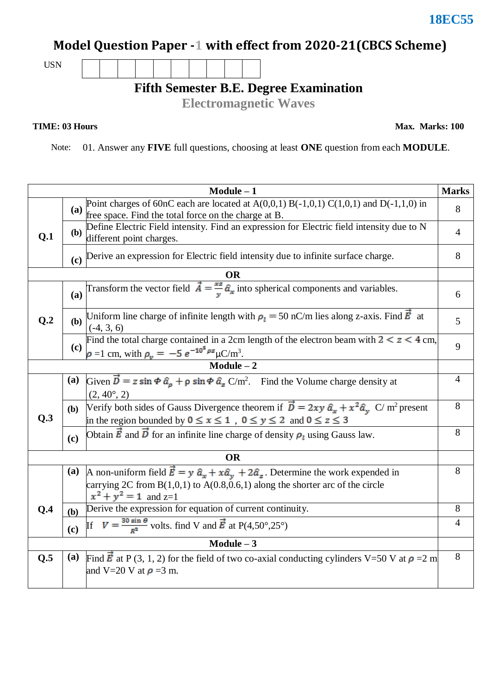## **Model Question Paper -1 with effect from 2020-21(CBCS Scheme)**

USN

**Fifth Semester B.E. Degree Examination**

**Electromagnetic Waves** 

**TIME: 03 Hours** Max. Marks: 100

Note: 01. Answer any **FIVE** full questions, choosing at least **ONE** question from each **MODULE**.

| $Module - 1$<br><b>Marks</b>   |              |                                                                                                                                                                                            |                |  |  |
|--------------------------------|--------------|--------------------------------------------------------------------------------------------------------------------------------------------------------------------------------------------|----------------|--|--|
|                                | (a)          | Point charges of 60nC each are located at $A(0,0,1) B(-1,0,1) C(1,0,1)$ and $D(-1,1,0)$ in<br>free space. Find the total force on the charge at B.                                         |                |  |  |
| Q.1                            | ( <b>b</b> ) | Define Electric Field intensity. Find an expression for Electric field intensity due to N<br>different point charges.                                                                      |                |  |  |
|                                |              | (c) Derive an expression for Electric field intensity due to infinite surface charge.                                                                                                      | 8              |  |  |
|                                |              | <b>OR</b>                                                                                                                                                                                  |                |  |  |
|                                | (a)          | Transform the vector field $\vec{A} = \frac{xz}{y} \hat{a}_x$ into spherical components and variables.                                                                                     | 6              |  |  |
| Q.2                            |              | (b) Uniform line charge of infinite length with $\rho_l = 50$ nC/m lies along z-axis. Find $\vec{E}$ at<br>$(-4, 3, 6)$                                                                    |                |  |  |
|                                | (c)          | Find the total charge contained in a 2cm length of the electron beam with $2 < z < 4$ cm,<br>$\rho = 1$ cm, with $\rho_v = -5 e^{-10^5 \rho z} \mu C/m^3$ .                                | 9              |  |  |
| $\overline{\text{Module} - 2}$ |              |                                                                                                                                                                                            |                |  |  |
|                                | (a)          | Given $\vec{D} = z \sin \Phi \hat{a}_\rho + \rho \sin \Phi \hat{a}_z C/m^2$ . Find the Volume charge density at<br>$(2, 40^{\circ}, 2)$                                                    | $\overline{4}$ |  |  |
| Q.3                            | <b>(b)</b>   | Verify both sides of Gauss Divergence theorem if $\vec{D} = 2xy \hat{a}_x + x^2 \hat{a}_y C/m^2$ present<br>in the region bounded by $0 \le x \le 1$ , $0 \le y \le 2$ and $0 \le z \le 3$ | 8              |  |  |
|                                | (c)          | Obtain $\vec{E}$ and $\vec{D}$ for an infinite line charge of density $\rho_1$ using Gauss law.                                                                                            | 8              |  |  |
|                                |              | <b>OR</b>                                                                                                                                                                                  |                |  |  |
|                                | <b>(a)</b>   | A non-uniform field $\vec{E} = y \hat{a}_x + x\hat{a}_y + 2\hat{a}_z$ . Determine the work expended in                                                                                     | 8              |  |  |
|                                |              | carrying 2C from $B(1,0,1)$ to $A(0.8,0.6,1)$ along the shorter arc of the circle<br>$x^2 + y^2 = 1$ and z=1                                                                               |                |  |  |
| Q.4                            | (b)          | Derive the expression for equation of current continuity.                                                                                                                                  |                |  |  |
|                                | (c)          | If $V = \frac{30 \sin \theta}{R^2}$ volts. find V and $\vec{E}$ at P(4,50°,25°)                                                                                                            | $\overline{4}$ |  |  |
| $Module - 3$                   |              |                                                                                                                                                                                            |                |  |  |
| Q.5                            | (a)          | Find $\vec{E}$ at P (3, 1, 2) for the field of two co-axial conducting cylinders V=50 V at $\rho$ =2 m<br>and V=20 V at $\rho$ =3 m.                                                       | 8              |  |  |

**18EC55**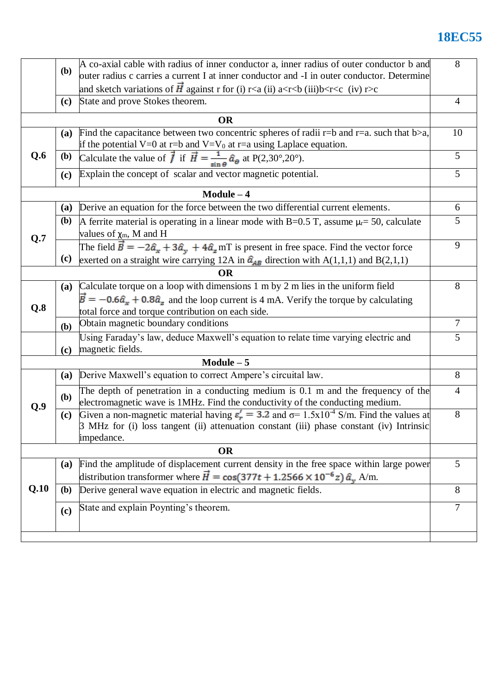## **18EC55**

|           | A co-axial cable with radius of inner conductor a, inner radius of outer conductor b and<br>( <b>b</b> ) |                                                                                                                                                                                                                             |                |  |  |  |
|-----------|----------------------------------------------------------------------------------------------------------|-----------------------------------------------------------------------------------------------------------------------------------------------------------------------------------------------------------------------------|----------------|--|--|--|
|           |                                                                                                          | outer radius c carries a current I at inner conductor and -I in outer conductor. Determine                                                                                                                                  |                |  |  |  |
|           | (c)                                                                                                      | and sketch variations of $\vec{H}$ against r for (i) r <a (ii)="" a<r<br=""></a> shall and sketch variations of $\vec{H}$ against r for (i) r <a (ii)="" a<r<br=""></a> shall and state.<br>State and prove Stokes theorem. | $\overline{4}$ |  |  |  |
| <b>OR</b> |                                                                                                          |                                                                                                                                                                                                                             |                |  |  |  |
| Q.6       | <b>(a)</b>                                                                                               | Find the capacitance between two concentric spheres of radii $r=b$ and $r=a$ . such that $b>a$ ,<br>if the potential V=0 at r=b and V=V <sub>0</sub> at r=a using Laplace equation.                                         |                |  |  |  |
|           | <b>(b)</b>                                                                                               | Calculate the value of $\vec{I}$ if $\vec{H} = \frac{1}{\sin \theta} \hat{a}_{\theta}$ at P(2,30°,20°).                                                                                                                     | 5              |  |  |  |
|           | (c)                                                                                                      | Explain the concept of scalar and vector magnetic potential.                                                                                                                                                                |                |  |  |  |
|           |                                                                                                          | $Module - 4$                                                                                                                                                                                                                |                |  |  |  |
|           | <b>(a)</b>                                                                                               | Derive an equation for the force between the two differential current elements.                                                                                                                                             | 6              |  |  |  |
| Q.7       | (b)                                                                                                      | A ferrite material is operating in a linear mode with B=0.5 T, assume $\mu$ = 50, calculate<br>values of $\chi_{m}$ , M and H                                                                                               |                |  |  |  |
|           | (c)                                                                                                      | The field $\vec{B} = -2\hat{a}_x + 3\hat{a}_y + 4\hat{a}_z$ mT is present in free space. Find the vector force<br>exerted on a straight wire carrying 12A in $\hat{a}_{AB}$ direction with A(1,1,1) and B(2,1,1)            | 9              |  |  |  |
| OR        |                                                                                                          |                                                                                                                                                                                                                             |                |  |  |  |
|           | (a)                                                                                                      | Calculate torque on a loop with dimensions 1 m by 2 m lies in the uniform field<br>$\vec{B} = -0.6\hat{a}_{x} + 0.8\hat{a}_{z}$ and the loop current is 4 mA. Verify the torque by calculating                              | 8              |  |  |  |
| Q.8       |                                                                                                          | total force and torque contribution on each side.                                                                                                                                                                           |                |  |  |  |
|           | (b)                                                                                                      | Obtain magnetic boundary conditions                                                                                                                                                                                         | 7              |  |  |  |
|           | (c)                                                                                                      | Using Faraday's law, deduce Maxwell's equation to relate time varying electric and<br>magnetic fields.                                                                                                                      | 5              |  |  |  |
|           |                                                                                                          | $Module - 5$                                                                                                                                                                                                                |                |  |  |  |
|           | <b>(a)</b>                                                                                               | Derive Maxwell's equation to correct Ampere's circuital law.                                                                                                                                                                | 8              |  |  |  |
| Q.9       | <b>(b)</b>                                                                                               | The depth of penetration in a conducting medium is 0.1 m and the frequency of the<br>electromagnetic wave is 1MHz. Find the conductivity of the conducting medium.                                                          |                |  |  |  |
|           | (c)                                                                                                      | Given a non-magnetic material having $\varepsilon_r' = 3.2$ and $\sigma = 1.5x10^{-4}$ S/m. Find the values at<br>3 MHz for (i) loss tangent (ii) attenuation constant (iii) phase constant (iv) Intrinsic<br>impedance.    | 8              |  |  |  |
|           |                                                                                                          | <b>OR</b>                                                                                                                                                                                                                   |                |  |  |  |
|           | <b>(a)</b>                                                                                               | Find the amplitude of displacement current density in the free space within large power<br>distribution transformer where $\vec{H} = \cos(377t + 1.2566 \times 10^{-6} z) \hat{a}_{y}$ A/m.                                 | 5              |  |  |  |
| Q.10      | (b)                                                                                                      | Derive general wave equation in electric and magnetic fields.                                                                                                                                                               | 8              |  |  |  |
|           | (c)                                                                                                      | State and explain Poynting's theorem.                                                                                                                                                                                       | 7              |  |  |  |
|           |                                                                                                          |                                                                                                                                                                                                                             |                |  |  |  |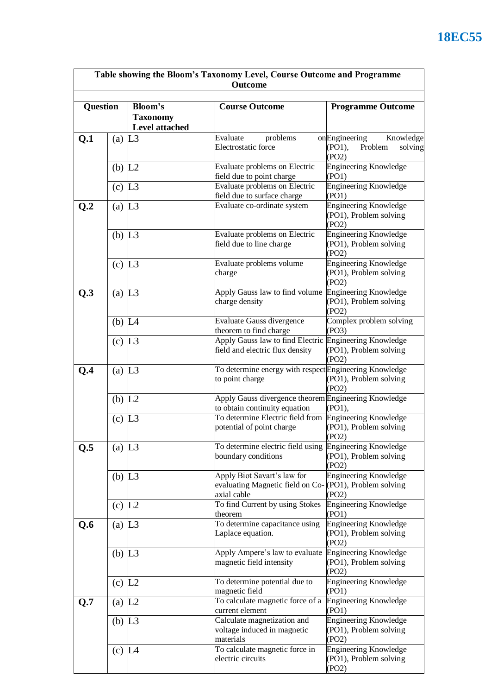| Table showing the Bloom's Taxonomy Level, Course Outcome and Programme<br>Outcome |                      |                                              |                                                                                                      |                                                                     |  |
|-----------------------------------------------------------------------------------|----------------------|----------------------------------------------|------------------------------------------------------------------------------------------------------|---------------------------------------------------------------------|--|
| <b>Question</b>                                                                   |                      | Bloom's<br><b>Taxonomy</b><br>Level attached | <b>Course Outcome</b>                                                                                | <b>Programme Outcome</b>                                            |  |
| Q.1                                                                               | (a) $L3$             |                                              | Evaluate<br>problems<br>Electrostatic force                                                          | onEngineering<br>Knowledge<br>Problem<br>(PO1),<br>solving<br>(PO2) |  |
|                                                                                   | $(b)$ L <sub>2</sub> |                                              | Evaluate problems on Electric<br>field due to point charge                                           | <b>Engineering Knowledge</b><br>(PO1)                               |  |
|                                                                                   | $(c)$ L <sub>3</sub> |                                              | Evaluate problems on Electric<br>field due to surface charge                                         | <b>Engineering Knowledge</b><br>(PO1)                               |  |
| Q.2                                                                               | (a) $L3$             |                                              | Evaluate co-ordinate system                                                                          | <b>Engineering Knowledge</b><br>(PO1), Problem solving<br>(PO2)     |  |
|                                                                                   | $(b)$ L <sub>3</sub> |                                              | Evaluate problems on Electric<br>field due to line charge                                            | <b>Engineering Knowledge</b><br>(PO1), Problem solving<br>(PO2)     |  |
|                                                                                   | $(c)$ L <sub>3</sub> |                                              | Evaluate problems volume<br>charge                                                                   | <b>Engineering Knowledge</b><br>(PO1), Problem solving<br>(PO2)     |  |
| Q.3                                                                               | (a) $L3$             |                                              | Apply Gauss law to find volume<br>charge density                                                     | Engineering Knowledge<br>(PO1), Problem solving<br>(PO2)            |  |
|                                                                                   | (b) $L4$             |                                              | <b>Evaluate Gauss divergence</b><br>theorem to find charge                                           | Complex problem solving<br>(PO3)                                    |  |
|                                                                                   | $(c)$ L <sub>3</sub> |                                              | Apply Gauss law to find Electric Engineering Knowledge<br>field and electric flux density            | (PO1), Problem solving<br>(PO2)                                     |  |
| Q.4                                                                               | (a) $L3$             |                                              | To determine energy with respectEngineering Knowledge<br>to point charge                             | (PO1), Problem solving<br>(PO2)                                     |  |
|                                                                                   | (b) $L2$             |                                              | Apply Gauss divergence theorem Engineering Knowledge<br>to obtain continuity equation                | $(PO1)$ ,                                                           |  |
|                                                                                   | $(c)$ L <sub>3</sub> |                                              | To determine Electric field from<br>potential of point charge                                        | Engineering Knowledge<br>(PO1), Problem solving<br>(PO2)            |  |
| Q.5                                                                               | (a) $L3$             |                                              | To determine electric field using<br>boundary conditions                                             | Engineering Knowledge<br>(PO1), Problem solving<br>(PO2)            |  |
|                                                                                   | $(b)$ L <sub>3</sub> |                                              | Apply Biot Savart's law for<br>evaluating Magnetic field on Co-(PO1), Problem solving<br>axial cable | <b>Engineering Knowledge</b><br>(PO2)                               |  |
|                                                                                   | $(c)$ L <sub>2</sub> |                                              | To find Current by using Stokes<br>theorem                                                           | Engineering Knowledge<br>(PO1)                                      |  |
| Q.6                                                                               | (a) $L3$             |                                              | To determine capacitance using<br>Laplace equation.                                                  | <b>Engineering Knowledge</b><br>(PO1), Problem solving<br>(PO2)     |  |
|                                                                                   | $(b)$ L <sub>3</sub> |                                              | Apply Ampere's law to evaluate<br>magnetic field intensity                                           | Engineering Knowledge<br>(PO1), Problem solving<br>(PO2)            |  |
|                                                                                   | $(c)$ L <sub>2</sub> |                                              | To determine potential due to<br>magnetic field                                                      | <b>Engineering Knowledge</b><br>(PO1)                               |  |
| Q.7                                                                               | (a) $L2$             |                                              | To calculate magnetic force of a<br>current element                                                  | <b>Engineering Knowledge</b><br>(PO1)                               |  |
|                                                                                   | (b) $L3$             |                                              | Calculate magnetization and<br>voltage induced in magnetic<br>materials                              | <b>Engineering Knowledge</b><br>(PO1), Problem solving<br>(PO2)     |  |
|                                                                                   | $(c)$ L <sub>4</sub> |                                              | To calculate magnetic force in<br>electric circuits                                                  | <b>Engineering Knowledge</b><br>(PO1), Problem solving<br>(PO2)     |  |